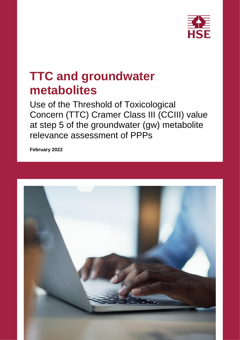

# **TTC and groundwater metabolites**

Use of the Threshold of Toxicological Concern (TTC) Cramer Class III (CCIII) value at step 5 of the groundwater (gw) metabolite relevance assessment of PPPs

**February 2022**

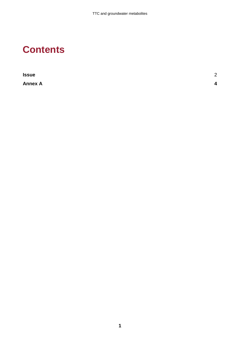# **Contents**

| <b>Issue</b>   | $\Omega$<br>∠ |
|----------------|---------------|
| <b>Annex A</b> | Δ             |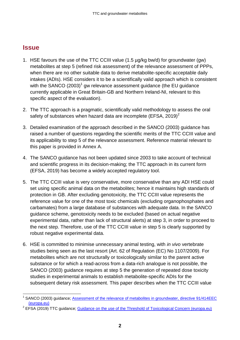### <span id="page-3-0"></span>**Issue**

1

- 1. HSE favours the use of the TTC CCIII value (1.5 µg/kg bw/d) for groundwater (gw) metabolites at step 5 (refined risk assessment) of the relevance assessment of PPPs, when there are no other suitable data to derive metabolite-specific acceptable daily intakes (ADIs). HSE considers it to be a scientifically valid approach which is consistent with the SANCO (2003)<sup>1</sup> gw relevance assessment guidance (the EU guidance currently applicable in Great Britain-GB and Northern Ireland-NI, relevant to this specific aspect of the evaluation).
- 2. The TTC approach is a pragmatic, scientifically valid methodology to assess the oral safety of substances when hazard data are incomplete (EFSA,  $2019)^2$
- 3. Detailed examination of the approach described in the SANCO (2003) guidance has raised a number of questions regarding the scientific merits of the TTC CCIII value and its applicability to step 5 of the relevance assessment. Reference material relevant to this paper is provided in Annex A.
- 4. The SANCO guidance has not been updated since 2003 to take account of technical and scientific progress in its decision-making; the TTC approach in its current form (EFSA, 2019) has become a widely accepted regulatory tool.
- 5. The TTC CCIII value is very conservative, more conservative than any ADI HSE could set using specific animal data on the metabolites; hence it maintains high standards of protection in GB. After excluding genotoxicity, the TTC CCIII value represents the reference value for one of the most toxic chemicals (excluding organophosphates and carbamates) from a large database of substances with adequate data. In the SANCO guidance scheme, genotoxicity needs to be excluded (based on actual negative experimental data, rather than lack of structural alerts) at step 3, in order to proceed to the next step. Therefore, use of the TTC CCIII value in step 5 is clearly supported by robust negative experimental data.
- 6. HSE is committed to minimise unnecessary animal testing, with *in vivo* vertebrate studies being seen as the last resort (Art. 62 of Regulation (EC) No 1107/2009). For metabolites which are not structurally or toxicologically similar to the parent active substance or for which a read-across from a data-rich analogue is not possible, the SANCO (2003) guidance requires at step 5 the generation of repeated dose toxicity studies in experimental animals to establish metabolite-specific ADIs for the subsequent dietary risk assessment. This paper describes when the TTC CCIII value

<sup>1</sup> SANCO (2003) guidance; [Assessment of the relevance of metabolites in groundwater, directive 91/414EEC](https://ec.europa.eu/food/sites/food/files/plant/docs/pesticides_ppp_app-proc_guide_fate_metabolites-groundwtr.pdf)  [\(europa.eu\)](https://ec.europa.eu/food/sites/food/files/plant/docs/pesticides_ppp_app-proc_guide_fate_metabolites-groundwtr.pdf)

<sup>&</sup>lt;sup>2</sup> EFSA (2019) TTC guidance; [Guidance on the use of the Threshold of Toxicological Concern \(europa.eu\)](https://www.efsa.europa.eu/en/efsajournal/pub/5708)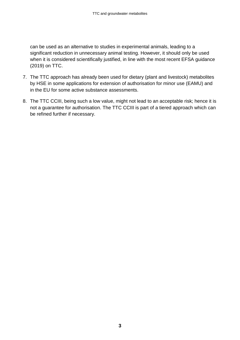can be used as an alternative to studies in experimental animals, leading to a significant reduction in unnecessary animal testing. However, it should only be used when it is considered scientifically justified, in line with the most recent EFSA guidance (2019) on TTC.

- 7. The TTC approach has already been used for dietary (plant and livestock) metabolites by HSE in some applications for extension of authorisation for minor use (EAMU) and in the EU for some active substance assessments.
- 8. The TTC CCIII, being such a low value, might not lead to an acceptable risk; hence it is not a guarantee for authorisation. The TTC CCIII is part of a tiered approach which can be refined further if necessary.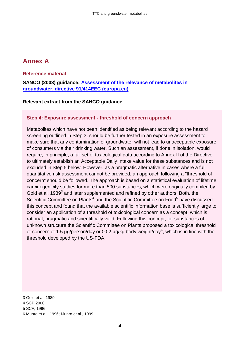# <span id="page-5-0"></span>**Annex A**

#### **Reference material**

**SANCO (2003) guidance; [Assessment of the relevance of metabolites in](https://ec.europa.eu/food/sites/food/files/plant/docs/pesticides_ppp_app-proc_guide_fate_metabolites-groundwtr.pdf)  [groundwater, directive 91/414EEC \(europa.eu\)](https://ec.europa.eu/food/sites/food/files/plant/docs/pesticides_ppp_app-proc_guide_fate_metabolites-groundwtr.pdf)**

#### **Relevant extract from the SANCO guidance**

#### **Step 4: Exposure assessment - threshold of concern approach**

Metabolites which have not been identified as being relevant according to the hazard screening outlined in Step 3, should be further tested in an exposure assessment to make sure that any contamination of groundwater will not lead to unacceptable exposure of consumers via their drinking water. Such an assessment, if done in isolation, would require, in principle, a full set of toxicological data according to Annex II of the Directive to ultimately establish an Acceptable Daily Intake value for these substances and is not excluded in Step 5 below. However, as a pragmatic alternative in cases where a full quantitative risk assessment cannot be provided, an approach following a "threshold of concern" should be followed. The approach is based on a statistical evaluation of lifetime carcinogenicity studies for more than 500 substances, which were originally compiled by Gold et al. 1989 $3$  and later supplemented and refined by other authors. Both, the Scientific Committee on Plants<sup>4</sup> and the Scientific Committee on Food<sup>5</sup> have discussed this concept and found that the available scientific information base is sufficiently large to consider an application of a threshold of toxicological concern as a concept, which is rational, pragmatic and scientifically valid. Following this concept, for substances of unknown structure the Scientific Committee on Plants proposed a toxicological threshold of concern of 1.5  $\mu$ g/person/day or 0.02  $\mu$ g/kg body weight/day<sup>6</sup>, which is in line with the threshold developed by the US-FDA.

<sup>1</sup> 3 Gold et al. 1989 4 SCP 2000 5 SCF, 1996 6 Munro et al., 1996; Munro et al., 1999.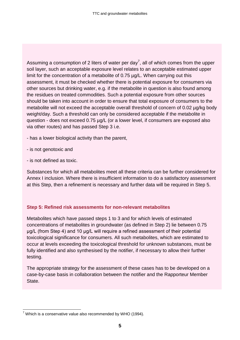Assuming a consumption of 2 liters of water per day<sup>7</sup>, all of which comes from the upper soil layer, such an acceptable exposure level relates to an acceptable estimated upper limit for the concentration of a metabolite of 0.75 µg/L. When carrying out this assessment, it must be checked whether there is potential exposure for consumers via other sources but drinking water, e.g. if the metabolite in question is also found among the residues on treated commodities. Such a potential exposure from other sources should be taken into account in order to ensure that total exposure of consumers to the metabolite will not exceed the acceptable overall threshold of concern of 0.02 µg/kg body weight/day. Such a threshold can only be considered acceptable if the metabolite in question - does not exceed 0.75 µg/L (or a lower level, if consumers are exposed also via other routes) and has passed Step 3 i.e.

- has a lower biological activity than the parent,

- is not genotoxic and
- is not defined as toxic.

Substances for which all metabolites meet all these criteria can be further considered for Annex I inclusion. Where there is insufficient information to do a satisfactory assessment at this Step, then a refinement is necessary and further data will be required in Step 5.

#### **Step 5: Refined risk assessments for non-relevant metabolites**

Metabolites which have passed steps 1 to 3 and for which levels of estimated concentrations of metabolites in groundwater (as defined in Step 2) lie between 0.75 μg/L (from Step 4) and 10 μg/L will require a refined assessment of their potential toxicological significance for consumers. All such metabolites, which are estimated to occur at levels exceeding the toxicological threshold for unknown substances, must be fully identified and also synthesised by the notifier, if necessary to allow their further testing.

The appropriate strategy for the assessment of these cases has to be developed on a case-by-case basis in collaboration between the notifier and the Rapporteur Member State.

<sup>1</sup>  $7$  Which is a conservative value also recommended by WHO (1994).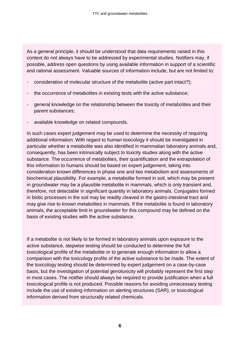As a general principle, it should be understood that data requirements raised in this context do not always have to be addressed by experimental studies. Notifiers may, if possible, address open questions by using available information in support of a scientific and rational assessment. Valuable sources of information include, but are not limited to:

- consideration of molecular structure of the metabolite (active part intact?);
- the occurrence of metabolites in existing tests with the active substance;
- general knowledge on the relationship between the toxicity of metabolites and their parent substances;
- available knowledge on related compounds.

In such cases expert judgement may be used to determine the necessity of requiring additional information. With regard to human toxicology it should be investigated in particular whether a metabolite was also identified in mammalian laboratory animals and, consequently, has been intrinsically subject to toxicity studies along with the active substance. The occurrence of metabolites, their quantification and the extrapolation of this information to humans should be based on expert judgement, taking into consideration known differences in phase one and two metabolism and assessments of biochemical plausibility. For example, a metabolite formed in soil, which may be present in groundwater may be a plausible metabolite in mammals, which is only transient and, therefore, not detectable in significant quantity in laboratory animals. Conjugates formed in biotic processes in the soil may be readily cleaved in the gastro-intestinal tract and may give rise to known metabolites in mammals. If the metabolite is found in laboratory animals, the acceptable limit in groundwater for this compound may be defined on the basis of existing studies with the active substance.

If a metabolite is not likely to be formed in laboratory animals upon exposure to the active substance, stepwise testing should be conducted to determine the full toxicological profile of the metabolite or to generate enough information to allow a comparison with the toxicology profile of the active substance to be made. The extent of the toxicology testing should be determined by expert judgement on a case-by-case basis, but the investigation of potential genotoxicity will probably represent the first step in most cases. The notifier should always be required to provide justification when a full toxicological profile is not produced. Possible reasons for avoiding unnecessary testing include the use of existing information on alerting structures (SAR), or toxicological information derived from structurally related chemicals.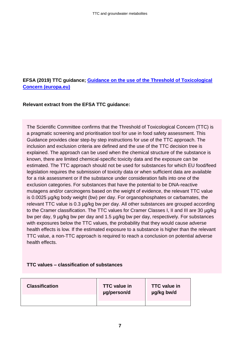#### **EFSA (2019) TTC guidance; [Guidance on the use of the Threshold of Toxicological](https://www.efsa.europa.eu/en/efsajournal/pub/5708)  [Concern \(europa.eu\)](https://www.efsa.europa.eu/en/efsajournal/pub/5708)**

#### **Relevant extract from the EFSA TTC guidance:**

The Scientific Committee confirms that the Threshold of Toxicological Concern (TTC) is a pragmatic screening and prioritisation tool for use in food safety assessment. This Guidance provides clear step-by step instructions for use of the TTC approach. The inclusion and exclusion criteria are defined and the use of the TTC decision tree is explained. The approach can be used when the chemical structure of the substance is known, there are limited chemical-specific toxicity data and the exposure can be estimated. The TTC approach should not be used for substances for which EU food/feed legislation requires the submission of toxicity data or when sufficient data are available for a risk assessment or if the substance under consideration falls into one of the exclusion categories. For substances that have the potential to be DNA-reactive mutagens and/or carcinogens based on the weight of evidence, the relevant TTC value is 0.0025 µg/kg body weight (bw) per day. For organophosphates or carbamates, the relevant TTC value is 0.3 µg/kg bw per day. All other substances are grouped according to the Cramer classification. The TTC values for Cramer Classes I, II and III are 30 µg/kg bw per day, 9 µg/kg bw per day and 1.5 µg/kg bw per day, respectively. For substances with exposures below the TTC values, the probability that they would cause adverse health effects is low. If the estimated exposure to a substance is higher than the relevant TTC value, a non-TTC approach is required to reach a conclusion on potential adverse health effects.

#### **TTC values – classification of substances**

| <b>Classification</b> | <b>TTC</b> value in<br>µg/person/d | <b>TTC</b> value in<br>µg/kg bw/d |
|-----------------------|------------------------------------|-----------------------------------|
|                       |                                    |                                   |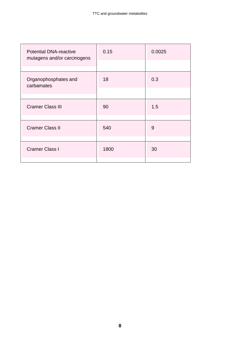| <b>Potential DNA-reactive</b><br>mutagens and/or carcinogens | 0.15 | 0.0025 |
|--------------------------------------------------------------|------|--------|
|                                                              |      |        |
| Organophosphates and<br>carbamates                           | 18   | 0.3    |
|                                                              |      |        |
| <b>Cramer Class III</b>                                      | 90   | 1.5    |
|                                                              |      |        |
| <b>Cramer Class II</b>                                       | 540  | 9      |
|                                                              |      |        |
| <b>Cramer Class I</b>                                        | 1800 | 30     |
|                                                              |      |        |